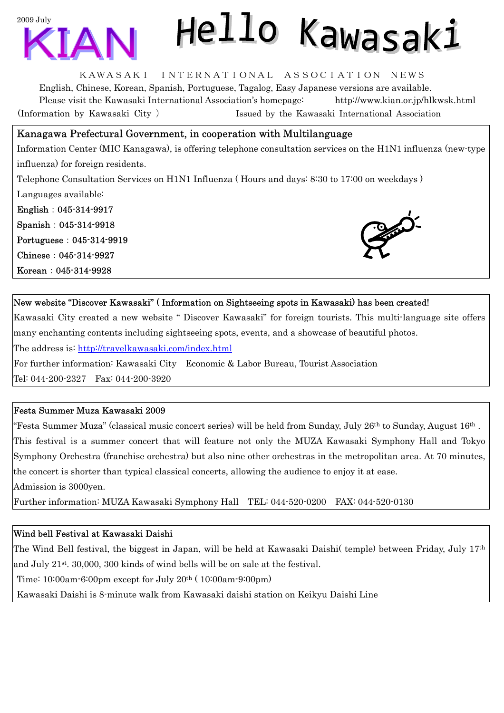

# Hello Kawasaki

#### KAWASAKI INTERNATIONAL ASSOCIATION NEWS

English, Chinese, Korean, Spanish, Portuguese, Tagalog, Easy Japanese versions are available. Please visit the Kawasaki International Association's homepage: http://www.kian.or.jp/hlkwsk.html (Information by Kawasaki City ) Issued by the Kawasaki International Association

#### Kanagawa Prefectural Government, in cooperation with Multilanguage

Information Center (MIC Kanagawa), is offering telephone consultation services on the H1N1 influenza (new-type influenza) for foreign residents.

Telephone Consultation Services on H1N1 Influenza ( Hours and days: 8:30 to 17:00 on weekdays ) Languages available:

English:045-314-9917 Spanish:045-314-9918 Portuguese:045-314-9919 Chinese:045-314-9927 Korean:045-314-9928



#### New website "Discover Kawasaki" ( Information on Sightseeing spots in Kawasaki) has been created!

Kawasaki City created a new website " Discover Kawasaki" for foreign tourists. This multi-language site offers many enchanting contents including sightseeing spots, events, and a showcase of beautiful photos. The address is: http://travelkawasaki.com/index.html

For further information: Kawasaki City Economic & Labor Bureau, Tourist Association

Tel: 044-200-2327 Fax: 044-200-3920

#### Festa Summer Muza Kawasaki 2009

"Festa Summer Muza" (classical music concert series) will be held from Sunday, July 26th to Sunday, August  $16$ th . This festival is a summer concert that will feature not only the MUZA Kawasaki Symphony Hall and Tokyo Symphony Orchestra (franchise orchestra) but also nine other orchestras in the metropolitan area. At 70 minutes, the concert is shorter than typical classical concerts, allowing the audience to enjoy it at ease. Admission is 3000yen.

Further information: MUZA Kawasaki Symphony Hall TEL: 044-520-0200 FAX: 044-520-0130

#### Wind bell Festival at Kawasaki Daishi

The Wind Bell festival, the biggest in Japan, will be held at Kawasaki Daishi( temple) between Friday, July 17th and July 21st. 30,000, 300 kinds of wind bells will be on sale at the festival.

Time: 10:00am-6:00pm except for July 20th ( 10:00am-9:00pm)

Kawasaki Daishi is 8-minute walk from Kawasaki daishi station on Keikyu Daishi Line